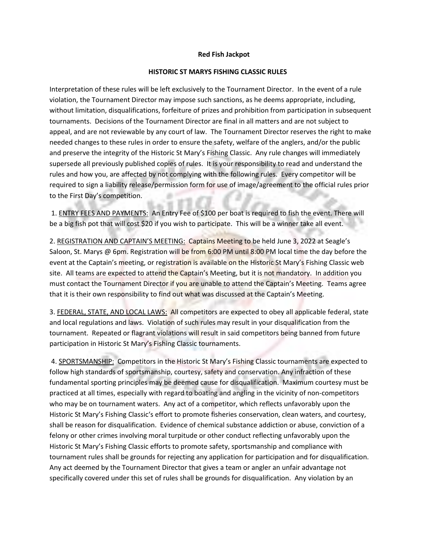## **Red Fish Jackpot**

## **HISTORIC ST MARYS FISHING CLASSIC RULES**

Interpretation of these rules will be left exclusively to the Tournament Director. In the event of a rule violation, the Tournament Director may impose such sanctions, as he deems appropriate, including, without limitation, disqualifications, forfeiture of prizes and prohibition from participation in subsequent tournaments. Decisions of the Tournament Director are final in all matters and are not subject to appeal, and are not reviewable by any court of law. The Tournament Director reserves the right to make needed changes to these rules in order to ensure the safety, welfare of the anglers, and/or the public and preserve the integrity of the Historic St Mary's Fishing Classic. Any rule changes will immediately supersede all previously published copies of rules. It is your responsibility to read and understand the rules and how you, are affected by not complying with the following rules. Every competitor will be required to sign a liability release/permission form for use of image/agreement to the official rules prior to the First Day's competition.

1. ENTRY FEES AND PAYMENTS: An Entry Fee of \$100 per boat is required to fish the event. There will be a big fish pot that will cost \$20 if you wish to participate. This will be a winner take all event.

2. REGISTRATION AND CAPTAIN'S MEETING: Captains Meeting to be held June 3, 2022 at Seagle's Saloon, St. Marys @ 6pm. Registration will be from 6:00 PM until 8:00 PM local time the day before the event at the Captain's meeting, or registration is available on the Historic St Mary's Fishing Classic web site. All teams are expected to attend the Captain's Meeting, but it is not mandatory. In addition you must contact the Tournament Director if you are unable to attend the Captain's Meeting. Teams agree that it is their own responsibility to find out what was discussed at the Captain's Meeting.

3. FEDERAL, STATE, AND LOCAL LAWS: All competitors are expected to obey all applicable federal, state and local regulations and laws. Violation of such rules may result in your disqualification from the tournament. Repeated or flagrant violations will result in said competitors being banned from future participation in Historic St Mary's Fishing Classic tournaments.

4. SPORTSMANSHIP: Competitors in the Historic St Mary's Fishing Classic tournaments are expected to follow high standards of sportsmanship, courtesy, safety and conservation. Any infraction of these fundamental sporting principles may be deemed cause for disqualification. Maximum courtesy must be practiced at all times, especially with regard to boating and angling in the vicinity of non-competitors who may be on tournament waters. Any act of a competitor, which reflects unfavorably upon the Historic St Mary's Fishing Classic's effort to promote fisheries conservation, clean waters, and courtesy, shall be reason for disqualification. Evidence of chemical substance addiction or abuse, conviction of a felony or other crimes involving moral turpitude or other conduct reflecting unfavorably upon the Historic St Mary's Fishing Classic efforts to promote safety, sportsmanship and compliance with tournament rules shall be grounds for rejecting any application for participation and for disqualification. Any act deemed by the Tournament Director that gives a team or angler an unfair advantage not specifically covered under this set of rules shall be grounds for disqualification. Any violation by an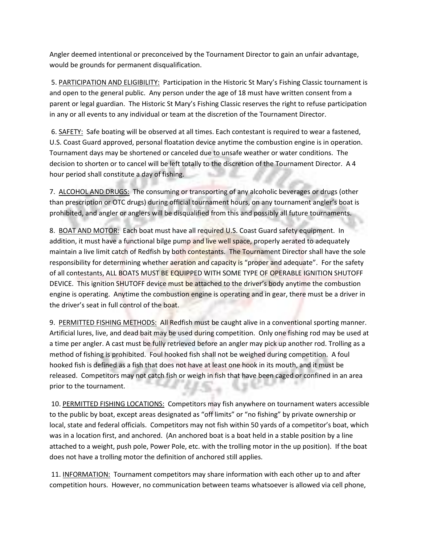Angler deemed intentional or preconceived by the Tournament Director to gain an unfair advantage, would be grounds for permanent disqualification.

5. PARTICIPATION AND ELIGIBILITY: Participation in the Historic St Mary's Fishing Classic tournament is and open to the general public. Any person under the age of 18 must have written consent from a parent or legal guardian. The Historic St Mary's Fishing Classic reserves the right to refuse participation in any or all events to any individual or team at the discretion of the Tournament Director.

6. SAFETY: Safe boating will be observed at all times. Each contestant is required to wear a fastened, U.S. Coast Guard approved, personal floatation device anytime the combustion engine is in operation. Tournament days may be shortened or canceled due to unsafe weather or water conditions. The decision to shorten or to cancel will be left totally to the discretion of the Tournament Director. A 4 hour period shall constitute a day of fishing.

7. ALCOHOL AND DRUGS: The consuming or transporting of any alcoholic beverages or drugs (other than prescription or OTC drugs) during official tournament hours, on any tournament angler's boat is prohibited, and angler or anglers will be disqualified from this and possibly all future tournaments.

8. BOAT AND MOTOR: Each boat must have all required U.S. Coast Guard safety equipment. In addition, it must have a functional bilge pump and live well space, properly aerated to adequately maintain a live limit catch of Redfish by both contestants. The Tournament Director shall have the sole responsibility for determining whether aeration and capacity is "proper and adequate". For the safety of all contestants, ALL BOATS MUST BE EQUIPPED WITH SOME TYPE OF OPERABLE IGNITION SHUTOFF DEVICE. This ignition SHUTOFF device must be attached to the driver's body anytime the combustion engine is operating. Anytime the combustion engine is operating and in gear, there must be a driver in the driver's seat in full control of the boat.

9. PERMITTED FISHING METHODS: All Redfish must be caught alive in a conventional sporting manner. Artificial lures, live, and dead bait may be used during competition. Only one fishing rod may be used at a time per angler. A cast must be fully retrieved before an angler may pick up another rod. Trolling as a method of fishing is prohibited. Foul hooked fish shall not be weighed during competition. A foul hooked fish is defined as a fish that does not have at least one hook in its mouth, and it must be released. Competitors may not catch fish or weigh in fish that have been caged or confined in an area prior to the tournament.

10. PERMITTED FISHING LOCATIONS: Competitors may fish anywhere on tournament waters accessible to the public by boat, except areas designated as "off limits" or "no fishing" by private ownership or local, state and federal officials. Competitors may not fish within 50 yards of a competitor's boat, which was in a location first, and anchored. (An anchored boat is a boat held in a stable position by a line attached to a weight, push pole, Power Pole, etc. with the trolling motor in the up position). If the boat does not have a trolling motor the definition of anchored still applies.

11. INFORMATION: Tournament competitors may share information with each other up to and after competition hours. However, no communication between teams whatsoever is allowed via cell phone,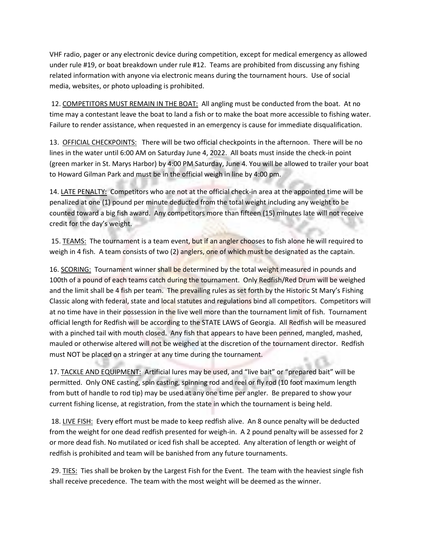VHF radio, pager or any electronic device during competition, except for medical emergency as allowed under rule #19, or boat breakdown under rule #12. Teams are prohibited from discussing any fishing related information with anyone via electronic means during the tournament hours. Use of social media, websites, or photo uploading is prohibited.

12. COMPETITORS MUST REMAIN IN THE BOAT: All angling must be conducted from the boat. At no time may a contestant leave the boat to land a fish or to make the boat more accessible to fishing water. Failure to render assistance, when requested in an emergency is cause for immediate disqualification.

13. OFFICIAL CHECKPOINTS: There will be two official checkpoints in the afternoon. There will be no lines in the water until 6:00 AM on Saturday June 4, 2022. All boats must inside the check-in point (green marker in St. Marys Harbor) by 4:00 PM Saturday, June 4. You will be allowed to trailer your boat to Howard Gilman Park and must be in the official weigh in line by 4:00 pm.

14. LATE PENALTY: Competitors who are not at the official check-in area at the appointed time will be penalized at one (1) pound per minute deducted from the total weight including any weight to be counted toward a big fish award. Any competitors more than fifteen (15) minutes late will not receive credit for the day's weight.

15. TEAMS: The tournament is a team event, but if an angler chooses to fish alone he will required to weigh in 4 fish. A team consists of two (2) anglers, one of which must be designated as the captain.

16. SCORING: Tournament winner shall be determined by the total weight measured in pounds and 100th of a pound of each teams catch during the tournament. Only Redfish/Red Drum will be weighed and the limit shall be 4 fish per team. The prevailing rules as set forth by the Historic St Mary's Fishing Classic along with federal, state and local statutes and regulations bind all competitors. Competitors will at no time have in their possession in the live well more than the tournament limit of fish. Tournament official length for Redfish will be according to the STATE LAWS of Georgia. All Redfish will be measured with a pinched tail with mouth closed. Any fish that appears to have been penned, mangled, mashed, mauled or otherwise altered will not be weighed at the discretion of the tournament director. Redfish must NOT be placed on a stringer at any time during the tournament.

17. TACKLE AND EQUIPMENT: Artificial lures may be used, and "live bait" or "prepared bait" will be permitted. Only ONE casting, spin casting, spinning rod and reel or fly rod (10 foot maximum length from butt of handle to rod tip) may be used at any one time per angler. Be prepared to show your current fishing license, at registration, from the state in which the tournament is being held.

18. LIVE FISH: Every effort must be made to keep redfish alive. An 8 ounce penalty will be deducted from the weight for one dead redfish presented for weigh-in. A 2 pound penalty will be assessed for 2 or more dead fish. No mutilated or iced fish shall be accepted. Any alteration of length or weight of redfish is prohibited and team will be banished from any future tournaments.

29. TIES: Ties shall be broken by the Largest Fish for the Event. The team with the heaviest single fish shall receive precedence. The team with the most weight will be deemed as the winner.